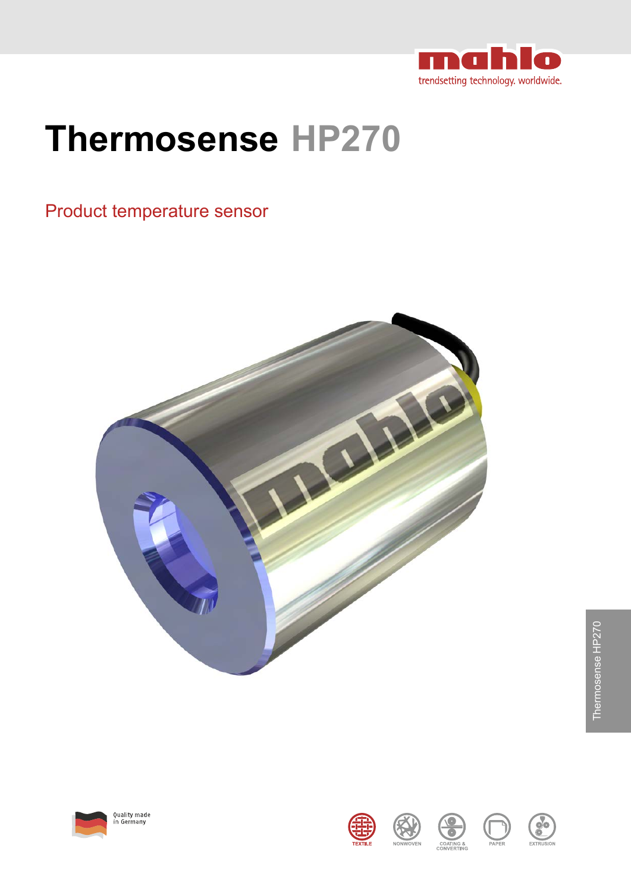

# **Thermosense HP270**

## Product temperature sensor

















Thermosense HP270 Thermosense HP270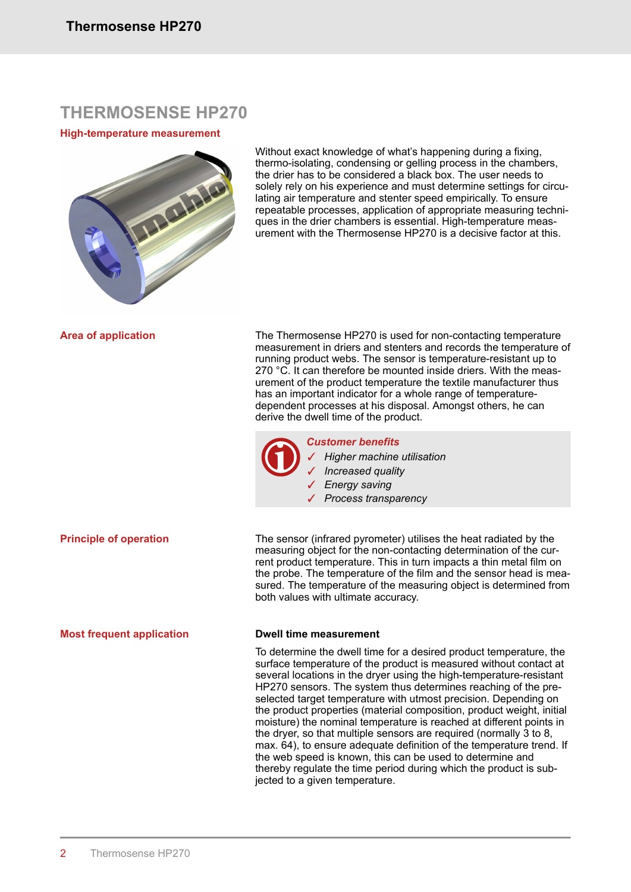## **THERMOSENSE HP270**

### **High-temperature measurement**



Without exact knowledge of what's happening during a fixing, thermo-isolating, condensing or gelling process in the chambers, the drier has to be considered a black box. The user needs to solely rely on his experience and must determine settings for circulating air temperature and stenter speed empirically. To ensure repeatable processes, application of appropriate measuring techniques in the drier chambers is essential. High-temperature measurement with the Thermosense HP270 is a decisive factor at this.

**Area of application**

The Thermosense HP270 is used for non-contacting temperature measurement in driers and stenters and records the temperature of running product webs. The sensor is temperature-resistant up to 270 °C. It can therefore be mounted inside driers. With the measurement of the product temperature the textile manufacturer thus has an important indicator for a whole range of temperaturedependent processes at his disposal. Amongst others, he can derive the dwell time of the product.



#### *Customer benefits*

✓ *Higher machine utilisation* ✓ *Increased quality* ✓ *Energy saving* ✓ *Process transparency*

The sensor (infrared pyrometer) utilises the heat radiated by the measuring object for the non-contacting determination of the current product temperature. This in turn impacts a thin metal film on the probe. The temperature of the film and the sensor head is measured. The temperature of the measuring object is determined from both values with ultimate accuracy. **Principle of operation**

#### **Most frequent application**

### **Dwell time measurement**

To determine the dwell time for a desired product temperature, the surface temperature of the product is measured without contact at several locations in the dryer using the high-temperature-resistant HP270 sensors. The system thus determines reaching of the preselected target temperature with utmost precision. Depending on the product properties (material composition, product weight, initial moisture) the nominal temperature is reached at different points in the dryer, so that multiple sensors are required (normally 3 to 8, max. 64), to ensure adequate definition of the temperature trend. If the web speed is known, this can be used to determine and thereby regulate the time period during which the product is subjected to a given temperature.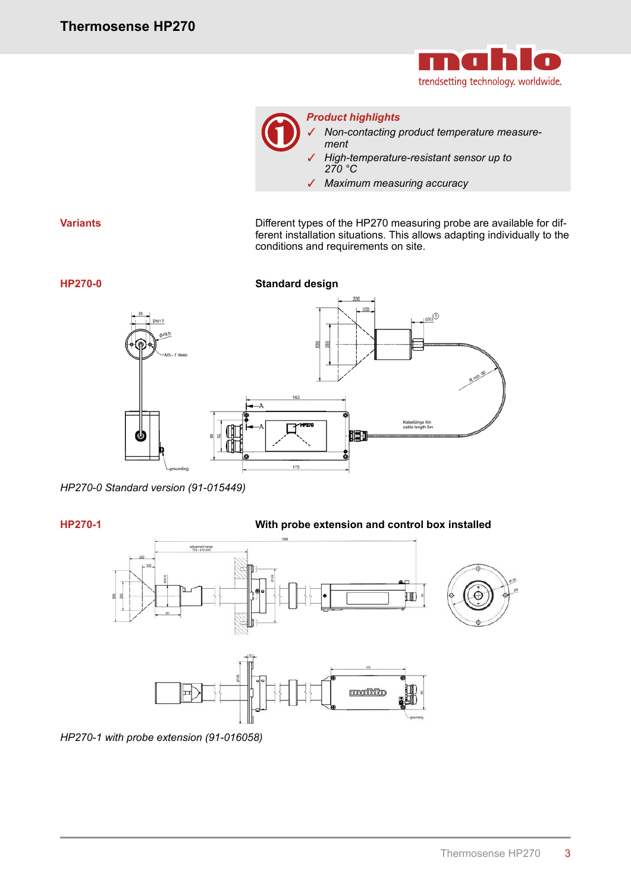



*Product highlights*

✓ *Non-contacting product temperature measurement*

- ✓ *High-temperature-resistant sensor up to 270 °C*
- ✓ *Maximum measuring accuracy*

Different types of the HP270 measuring probe are available for different installation situations. This allows adapting individually to the conditions and requirements on site.



*HP270-0 Standard version (91-015449)*

**HP270-1**

## **With probe extension and control box installed**



*HP270-1 with probe extension (91-016058)*

**HP270-0**

**Variants**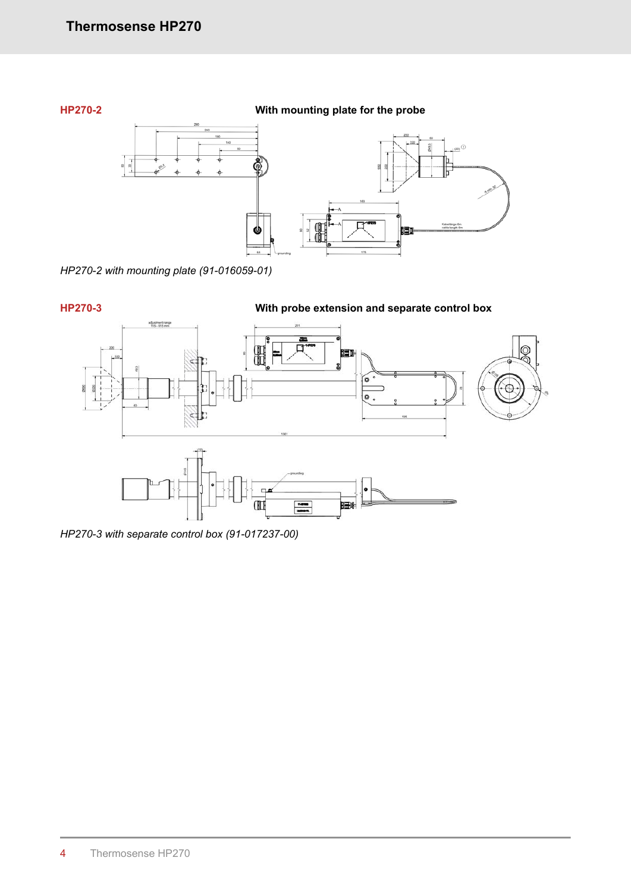

*HP270-2 with mounting plate (91-016059-01)*



*HP270-3 with separate control box (91-017237-00)*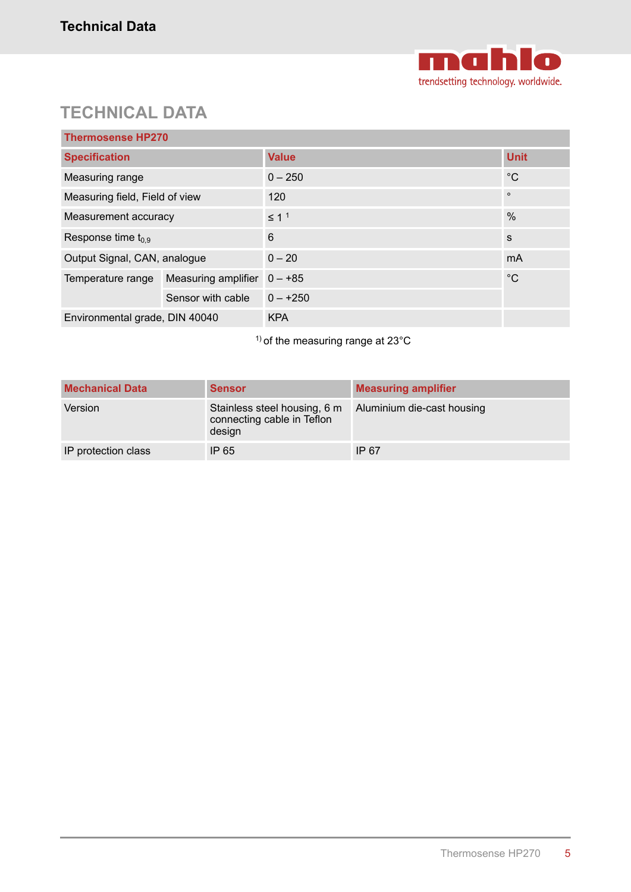

## **TECHNICAL DATA**

| <b>Thermosense HP270</b>       |                     |              |                |  |
|--------------------------------|---------------------|--------------|----------------|--|
| <b>Specification</b>           |                     | <b>Value</b> | <b>Unit</b>    |  |
| Measuring range                |                     | $0 - 250$    | $^{\circ}C$    |  |
| Measuring field, Field of view |                     | 120          | $\circ$        |  |
| Measurement accuracy           |                     | $\leq 11$    | $\frac{0}{0}$  |  |
| Response time $t_{0.9}$        |                     | 6            | S              |  |
| Output Signal, CAN, analogue   |                     | $0 - 20$     | m <sub>A</sub> |  |
| Temperature range              | Measuring amplifier | $0 - +85$    | $^{\circ}C$    |  |
|                                | Sensor with cable   | $0 - +250$   |                |  |
| Environmental grade, DIN 40040 |                     | <b>KPA</b>   |                |  |

<sup>1)</sup> of the measuring range at 23°C

| <b>Mechanical Data</b> | <b>Sensor</b>                                                        | <b>Measuring amplifier</b> |
|------------------------|----------------------------------------------------------------------|----------------------------|
| Version                | Stainless steel housing, 6 m<br>connecting cable in Teflon<br>design | Aluminium die-cast housing |
| IP protection class    | IP 65                                                                | IP 67                      |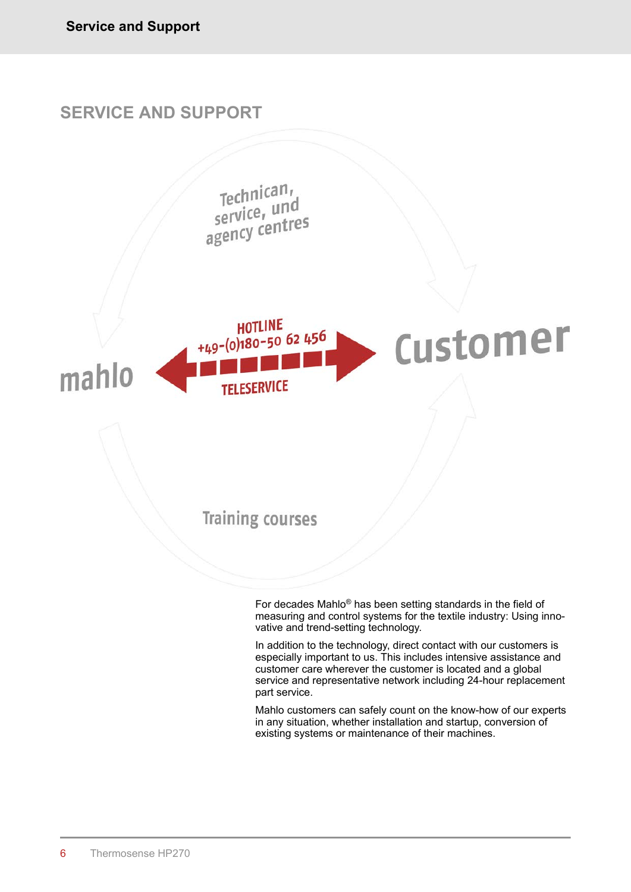

Mahlo customers can safely count on the know-how of our experts in any situation, whether installation and startup, conversion of existing systems or maintenance of their machines.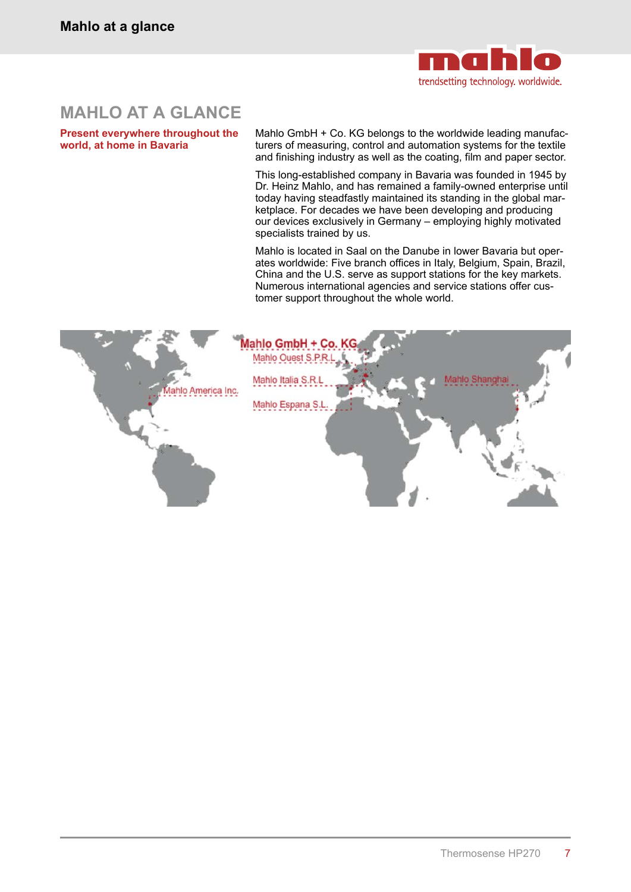

## **MAHLO AT A GLANCE**

**Present everywhere throughout the world, at home in Bavaria**

Mahlo GmbH + Co. KG belongs to the worldwide leading manufacturers of measuring, control and automation systems for the textile and finishing industry as well as the coating, film and paper sector.

This long-established company in Bavaria was founded in 1945 by Dr. Heinz Mahlo, and has remained a family-owned enterprise until today having steadfastly maintained its standing in the global marketplace. For decades we have been developing and producing our devices exclusively in Germany – employing highly motivated specialists trained by us.

Mahlo is located in Saal on the Danube in lower Bavaria but operates worldwide: Five branch offices in Italy, Belgium, Spain, Brazil, China and the U.S. serve as support stations for the key markets. Numerous international agencies and service stations offer customer support throughout the whole world.